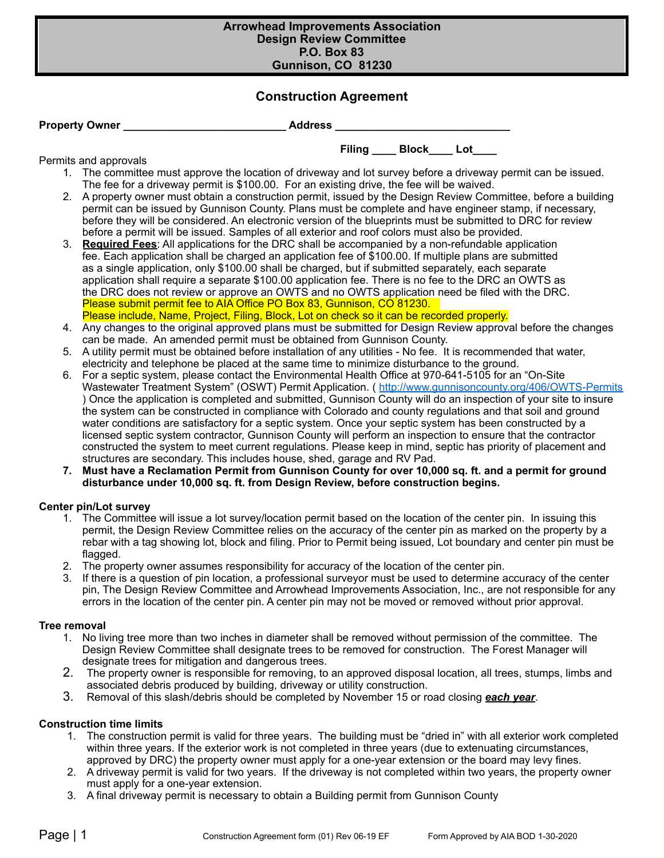#### **Arrowhead Improvements Association Design Review Committee P.O. Box 83 Gunnison, CO 81230**

# **Construction Agreement**

| <b>Property Owner</b> | <b>Address</b> |  |
|-----------------------|----------------|--|
|                       |                |  |

## Permits and approvals

1. The committee must approve the location of driveway and lot survey before a driveway permit can be issued. The fee for a driveway permit is \$100.00. For an existing drive, the fee will be waived.

Filing **Block** Lot

- 2. A property owner must obtain a construction permit, issued by the Design Review Committee, before a building permit can be issued by Gunnison County. Plans must be complete and have engineer stamp, if necessary, before they will be considered. An electronic version of the blueprints must be submitted to DRC for review before a permit will be issued. Samples of all exterior and roof colors must also be provided.
- 3. **Required Fees**: All applications for the DRC shall be accompanied by a non-refundable application fee. Each application shall be charged an application fee of \$100.00. If multiple plans are submitted as a single application, only \$100.00 shall be charged, but if submitted separately, each separate application shall require a separate \$100.00 application fee. There is no fee to the DRC an OWTS as the DRC does not review or approve an OWTS and no OWTS application need be filed with the DRC. Please submit permit fee to AIA Office PO Box 83, Gunnison, CO 81230. Please include, Name, Project, Filing, Block, Lot on check so it can be recorded properly.
- 4. Any changes to the original approved plans must be submitted for Design Review approval before the changes can be made. An amended permit must be obtained from Gunnison County.
- 5. A utility permit must be obtained before installation of any utilities No fee. It is recommended that water, electricity and telephone be placed at the same time to minimize disturbance to the ground.
- 6. For a septic system, please contact the Environmental Health Office at 970-641-5105 for an "On-Site Wastewater Treatment System" (OSWT) Permit Application. ( <http://www.gunnisoncounty.org/406/OWTS-Permits> ) Once the application is completed and submitted, Gunnison County will do an inspection of your site to insure the system can be constructed in compliance with Colorado and county regulations and that soil and ground water conditions are satisfactory for a septic system. Once your septic system has been constructed by a licensed septic system contractor, Gunnison County will perform an inspection to ensure that the contractor constructed the system to meet current regulations. Please keep in mind, septic has priority of placement and structures are secondary. This includes house, shed, garage and RV Pad.
- **7. Must have a Reclamation Permit from Gunnison County for over 10,000 sq. ft. and a permit for ground disturbance under 10,000 sq. ft. from Design Review, before construction begins.**

# **Center pin/Lot survey**

- 1. The Committee will issue a lot survey/location permit based on the location of the center pin. In issuing this permit, the Design Review Committee relies on the accuracy of the center pin as marked on the property by a rebar with a tag showing lot, block and filing. Prior to Permit being issued, Lot boundary and center pin must be flagged.
- 2. The property owner assumes responsibility for accuracy of the location of the center pin.
- 3. If there is a question of pin location, a professional surveyor must be used to determine accuracy of the center pin, The Design Review Committee and Arrowhead Improvements Association, Inc., are not responsible for any errors in the location of the center pin. A center pin may not be moved or removed without prior approval.

# **Tree removal**

- 1. No living tree more than two inches in diameter shall be removed without permission of the committee. The Design Review Committee shall designate trees to be removed for construction. The Forest Manager will designate trees for mitigation and dangerous trees.
- 2. The property owner is responsible for removing, to an approved disposal location, all trees, stumps, limbs and associated debris produced by building, driveway or utility construction.
- 3. Removal of this slash/debris should be completed by November 15 or road closing *each year*.

# **Construction time limits**

- 1. The construction permit is valid for three years. The building must be "dried in" with all exterior work completed within three years. If the exterior work is not completed in three years (due to extenuating circumstances, approved by DRC) the property owner must apply for a one-year extension or the board may levy fines.
- 2. A driveway permit is valid for two years. If the driveway is not completed within two years, the property owner must apply for a one-year extension.
- 3. A final driveway permit is necessary to obtain a Building permit from Gunnison County